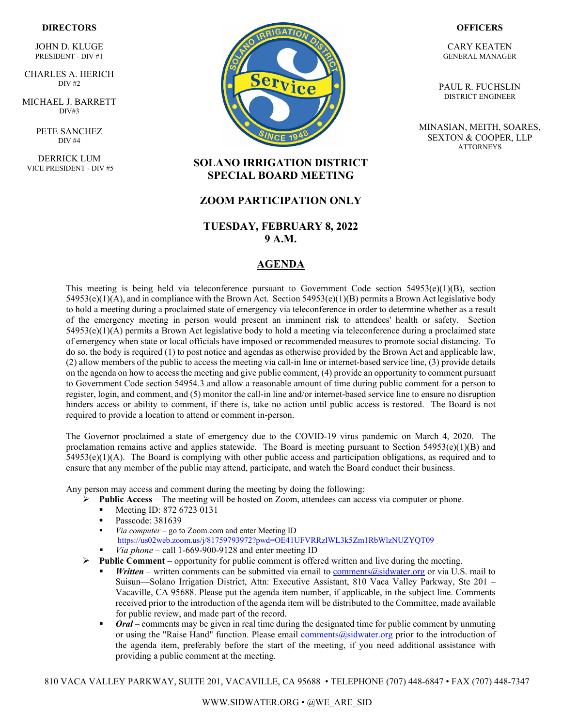#### **DIRECTORS**

JOHN D. KLUGE PRESIDENT - DIV #1

` CHARLES A. HERICH  $\overline{DIV}$  #2

MICHAEL J. BARRETT DIV#3

> PETE SANCHEZ DIV #4

DERRICK LUM VICE PRESIDENT - DIV #5



#### **OFFICERS**

CARY KEATEN GENERAL MANAGER

PAUL R. FUCHSLIN DISTRICT ENGINEER

MINASIAN, MEITH, SOARES, SEXTON & COOPER, LLP **ATTORNEYS** 

### **SOLANO IRRIGATION DISTRICT SPECIAL BOARD MEETING**

#### **ZOOM PARTICIPATION ONLY**

### **TUESDAY, FEBRUARY 8, 2022 9 A.M.**

### **AGENDA**

This meeting is being held via teleconference pursuant to Government Code section  $54953(e)(1)(B)$ , section  $54953(e)(1)(A)$ , and in compliance with the Brown Act. Section  $54953(e)(1)(B)$  permits a Brown Act legislative body to hold a meeting during a proclaimed state of emergency via teleconference in order to determine whether as a result of the emergency meeting in person would present an imminent risk to attendees' health or safety. Section 54953(e)(1)(A) permits a Brown Act legislative body to hold a meeting via teleconference during a proclaimed state of emergency when state or local officials have imposed or recommended measures to promote social distancing. To do so, the body is required (1) to post notice and agendas as otherwise provided by the Brown Act and applicable law, (2) allow members of the public to access the meeting via call-in line or internet-based service line, (3) provide details on the agenda on how to access the meeting and give public comment, (4) provide an opportunity to comment pursuant to Government Code section 54954.3 and allow a reasonable amount of time during public comment for a person to register, login, and comment, and (5) monitor the call-in line and/or internet-based service line to ensure no disruption hinders access or ability to comment, if there is, take no action until public access is restored. The Board is not required to provide a location to attend or comment in-person.

The Governor proclaimed a state of emergency due to the COVID-19 virus pandemic on March 4, 2020. The proclamation remains active and applies statewide. The Board is meeting pursuant to Section  $54953(e)(1)(B)$  and  $54953(e)(1)(A)$ . The Board is complying with other public access and participation obligations, as required and to ensure that any member of the public may attend, participate, and watch the Board conduct their business.

Any person may access and comment during the meeting by doing the following:

- **►** Public Access The meeting will be hosted on Zoom, attendees can access via computer or phone.
	- Meeting ID: 872 6723 0131
	- **Passcode: 381639**
	- *Via computer* go to Zoom.com and enter Meeting ID <https://us02web.zoom.us/j/81759793972?pwd=OE41UFVRRzlWL3k5Zm1RbWlzNUZYQT09>
	- *Via phone* call 1-669-900-9128 and enter meeting ID
- $\triangleright$  **Public Comment** opportunity for public comment is offered written and live during the meeting.
	- *Written* written comments can be submitted via email to [comments@sidwater.org](mailto:comments@sidwater.org) or via U.S. mail to Suisun—Solano Irrigation District, Attn: Executive Assistant, 810 Vaca Valley Parkway, Ste 201 – Vacaville, CA 95688. Please put the agenda item number, if applicable, in the subject line. Comments received prior to the introduction of the agenda item will be distributed to the Committee, made available for public review, and made part of the record.
	- *Oral* comments may be given in real time during the designated time for public comment by unmuting or using the "Raise Hand" function. Please email [comments@sidwater.org](mailto:comments@sidwater.org) prior to the introduction of the agenda item, preferably before the start of the meeting, if you need additional assistance with providing a public comment at the meeting.

810 VACA VALLEY PARKWAY, SUITE 201, VACAVILLE, CA 95688 • TELEPHONE (707) 448-6847 • FAX (707) 448-7347